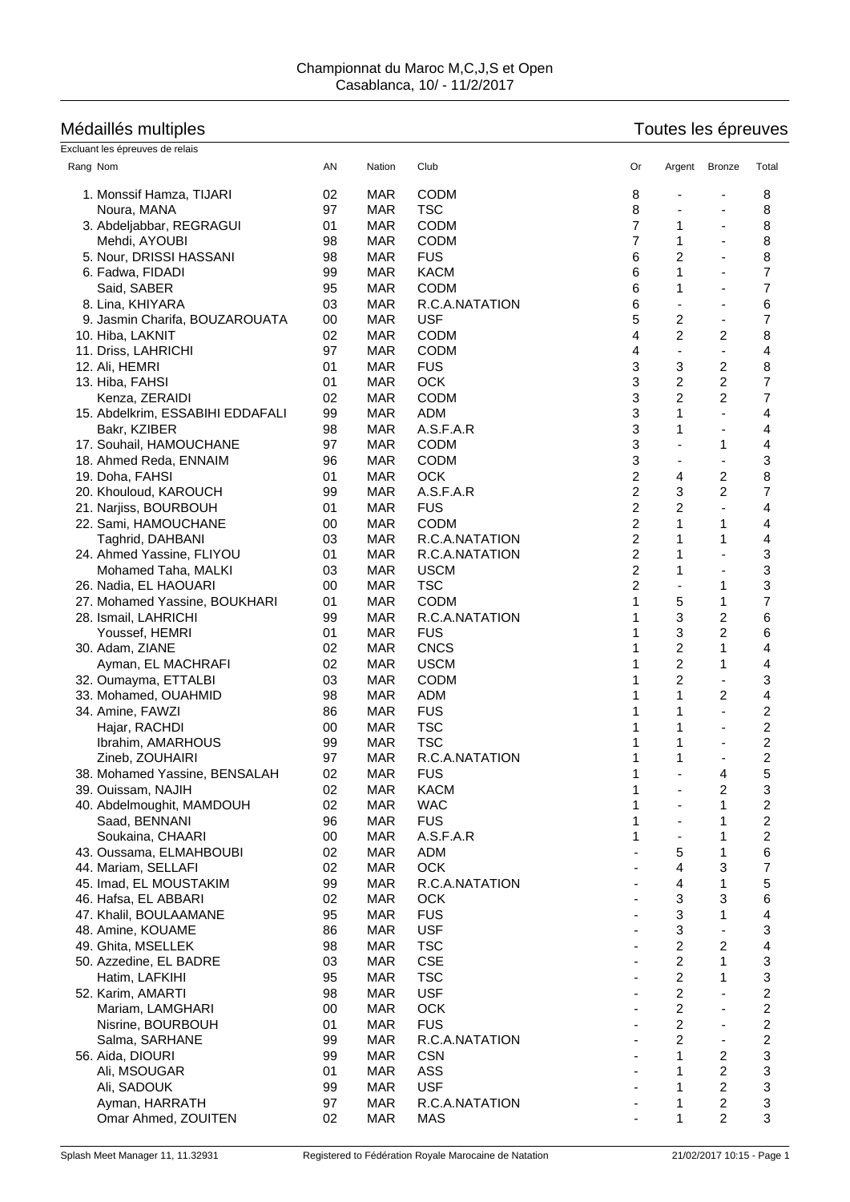## Médaillés multiples<br>Exclusive de relation de relations de relations de relations de relations de relations de relations de relation

| Excluant les épreuves de relais  |    |            |                |                |                |                          |                         |
|----------------------------------|----|------------|----------------|----------------|----------------|--------------------------|-------------------------|
| Rang Nom                         | AN | Nation     | Club           | Or             | Argent         | Bronze                   | Total                   |
| 1. Monssif Hamza, TIJARI         | 02 | <b>MAR</b> | <b>CODM</b>    | 8              |                |                          | 8                       |
| Noura, MANA                      | 97 | <b>MAR</b> | <b>TSC</b>     | 8              |                |                          | 8                       |
| 3. Abdeljabbar, REGRAGUI         | 01 | <b>MAR</b> | <b>CODM</b>    | $\overline{7}$ | 1              | $\blacksquare$           | 8                       |
| Mehdi, AYOUBI                    | 98 | <b>MAR</b> | <b>CODM</b>    | 7              | 1              |                          | 8                       |
| 5. Nour, DRISSI HASSANI          | 98 | <b>MAR</b> | <b>FUS</b>     | 6              | $\overline{c}$ | ä,                       | 8                       |
| 6. Fadwa, FIDADI                 | 99 | <b>MAR</b> | <b>KACM</b>    | 6              | 1              |                          | 7                       |
|                                  |    | <b>MAR</b> | <b>CODM</b>    | 6              | 1              | $\blacksquare$           | 7                       |
| Said, SABER                      | 95 |            |                |                |                |                          |                         |
| 8. Lina, KHIYARA                 | 03 | <b>MAR</b> | R.C.A.NATATION | 6              |                | $\overline{\phantom{a}}$ | 6                       |
| 9. Jasmin Charifa, BOUZAROUATA   | 00 | <b>MAR</b> | <b>USF</b>     | 5              | 2              | $\overline{\phantom{a}}$ | 7                       |
| 10. Hiba, LAKNIT                 | 02 | <b>MAR</b> | <b>CODM</b>    | 4              | $\overline{2}$ | 2                        | 8                       |
| 11. Driss, LAHRICHI              | 97 | <b>MAR</b> | <b>CODM</b>    | 4              |                | ÷                        | 4                       |
| 12. Ali, HEMRI                   | 01 | <b>MAR</b> | <b>FUS</b>     | 3              | 3              | 2                        | 8                       |
| 13. Hiba, FAHSI                  | 01 | <b>MAR</b> | <b>OCK</b>     | 3              | 2              | 2                        | 7                       |
| Kenza, ZERAIDI                   | 02 | <b>MAR</b> | <b>CODM</b>    | 3              | 2              | 2                        | 7                       |
| 15. Abdelkrim, ESSABIHI EDDAFALI | 99 | <b>MAR</b> | <b>ADM</b>     | 3              | 1              | ä,                       | 4                       |
| Bakr, KZIBER                     | 98 | <b>MAR</b> | A.S.F.A.R      | 3              | 1              | $\blacksquare$           | 4                       |
| 17. Souhail, HAMOUCHANE          | 97 | <b>MAR</b> | <b>CODM</b>    | 3              |                | 1                        | 4                       |
| 18. Ahmed Reda, ENNAIM           | 96 | <b>MAR</b> | <b>CODM</b>    | 3              |                | $\blacksquare$           | 3                       |
| 19. Doha, FAHSI                  | 01 | <b>MAR</b> | <b>OCK</b>     | 2              | 4              | 2                        | 8                       |
| 20. Khouloud, KAROUCH            | 99 | <b>MAR</b> | A.S.F.A.R      | 2              | 3              | $\overline{c}$           | 7                       |
| 21. Narjiss, BOURBOUH            | 01 | <b>MAR</b> | <b>FUS</b>     | 2              | 2              | $\overline{\phantom{a}}$ | 4                       |
| 22. Sami, HAMOUCHANE             | 00 | <b>MAR</b> | <b>CODM</b>    | $\overline{c}$ | 1              | 1                        | 4                       |
| Taghrid, DAHBANI                 | 03 | <b>MAR</b> | R.C.A.NATATION | 2              | 1              | 1                        | 4                       |
| 24. Ahmed Yassine, FLIYOU        | 01 | <b>MAR</b> | R.C.A.NATATION | 2              | 1              | ÷,                       | 3                       |
|                                  | 03 | <b>MAR</b> | <b>USCM</b>    | $\overline{c}$ | 1              | $\blacksquare$           | 3                       |
| Mohamed Taha, MALKI              | 00 | <b>MAR</b> | <b>TSC</b>     | 2              |                | 1                        | 3                       |
| 26. Nadia, EL HAOUARI            |    |            |                |                |                |                          | $\overline{7}$          |
| 27. Mohamed Yassine, BOUKHARI    | 01 | <b>MAR</b> | <b>CODM</b>    | 1              | 5              | 1                        |                         |
| 28. Ismail, LAHRICHI             | 99 | <b>MAR</b> | R.C.A.NATATION |                | 3              | 2                        | 6                       |
| Youssef, HEMRI                   | 01 | <b>MAR</b> | <b>FUS</b>     |                | 3              | $\overline{c}$           | 6                       |
| 30. Adam, ZIANE                  | 02 | <b>MAR</b> | <b>CNCS</b>    | 1              | 2              | 1                        | 4                       |
| Ayman, EL MACHRAFI               | 02 | <b>MAR</b> | <b>USCM</b>    |                | $\overline{c}$ | 1                        | 4                       |
| 32. Oumayma, ETTALBI             | 03 | <b>MAR</b> | <b>CODM</b>    |                | 2              | $\blacksquare$           | 3                       |
| 33. Mohamed, OUAHMID             | 98 | <b>MAR</b> | <b>ADM</b>     |                | 1              | 2                        | 4                       |
| 34. Amine, FAWZI                 | 86 | <b>MAR</b> | <b>FUS</b>     |                | 1              | ä,                       | 2                       |
| Hajar, RACHDI                    | 00 | <b>MAR</b> | <b>TSC</b>     |                | 1              | ä,                       | $\overline{\mathbf{c}}$ |
| Ibrahim, AMARHOUS                | 99 | <b>MAR</b> | <b>TSC</b>     |                | 1              |                          | 2                       |
| Zineb, ZOUHAIRI                  | 97 | <b>MAR</b> | R.C.A.NATATION |                | 1              | $\blacksquare$           | 2                       |
| 38. Mohamed Yassine, BENSALAH    | 02 | <b>MAR</b> | <b>FUS</b>     | 1              |                | 4                        | 5                       |
| 39. Ouissam, NAJIH               | 02 | MAR        | <b>KACM</b>    | 1              |                | 2                        | 3                       |
| 40. Abdelmoughit, MAMDOUH        | 02 | <b>MAR</b> | <b>WAC</b>     | 1              |                | 1                        | $\overline{\mathbf{c}}$ |
| Saad, BENNANI                    | 96 | <b>MAR</b> | <b>FUS</b>     | 1              |                | 1                        | 2                       |
| Soukaina, CHAARI                 | 00 | <b>MAR</b> | A.S.F.A.R      | 1              |                | 1                        | 2                       |
| 43. Oussama, ELMAHBOUBI          | 02 | <b>MAR</b> | <b>ADM</b>     |                | 5              | 1                        | 6                       |
| 44. Mariam, SELLAFI              | 02 | <b>MAR</b> | OCK            |                | 4              | 3                        | 7                       |
| 45. Imad, EL MOUSTAKIM           | 99 | <b>MAR</b> | R.C.A.NATATION |                | $\overline{4}$ | 1                        | 5                       |
| 46. Hafsa, EL ABBARI             | 02 | <b>MAR</b> | OCK            |                | 3              | 3                        | 6                       |
| 47. Khalil, BOULAAMANE           | 95 | <b>MAR</b> | <b>FUS</b>     |                | 3              | 1                        |                         |
|                                  |    |            |                |                |                |                          | 4                       |
| 48. Amine, KOUAME                | 86 | <b>MAR</b> | <b>USF</b>     |                | 3              | ä,                       | 3                       |
| 49. Ghita, MSELLEK               | 98 | <b>MAR</b> | <b>TSC</b>     |                | $\overline{c}$ | 2                        | 4                       |
| 50. Azzedine, EL BADRE           | 03 | <b>MAR</b> | <b>CSE</b>     |                | $\overline{c}$ | 1                        | 3                       |
| Hatim, LAFKIHI                   | 95 | <b>MAR</b> | <b>TSC</b>     |                | $\overline{c}$ | 1                        | 3                       |
| 52. Karim, AMARTI                | 98 | <b>MAR</b> | <b>USF</b>     |                | $\overline{c}$ |                          | $\overline{\mathbf{c}}$ |
| Mariam, LAMGHARI                 | 00 | <b>MAR</b> | OCK            |                | $\overline{c}$ |                          | $\overline{\mathbf{c}}$ |
| Nisrine, BOURBOUH                | 01 | <b>MAR</b> | <b>FUS</b>     |                | $\overline{c}$ | $\blacksquare$           | 2                       |
| Salma, SARHANE                   | 99 | <b>MAR</b> | R.C.A.NATATION |                | 2              | $\overline{\phantom{a}}$ | 2                       |
| 56. Aida, DIOURI                 | 99 | <b>MAR</b> | <b>CSN</b>     |                | 1              | 2                        | 3                       |
| Ali, MSOUGAR                     | 01 | <b>MAR</b> | ASS            |                | 1              | $\overline{c}$           | 3                       |
| Ali, SADOUK                      | 99 | <b>MAR</b> | <b>USF</b>     |                | 1              | $\overline{c}$           | 3                       |
| Ayman, HARRATH                   | 97 | <b>MAR</b> | R.C.A.NATATION |                | 1              | 2                        | 3                       |
| Omar Ahmed, ZOUITEN              | 02 | <b>MAR</b> | MAS            |                | 1              | $\overline{2}$           | 3                       |
|                                  |    |            |                |                |                |                          |                         |